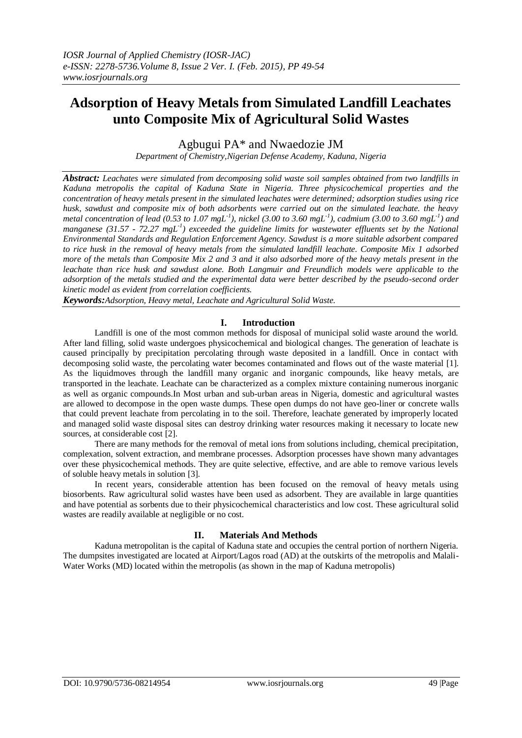# **Adsorption of Heavy Metals from Simulated Landfill Leachates unto Composite Mix of Agricultural Solid Wastes**

Agbugui PA\* and Nwaedozie JM

*Department of Chemistry,Nigerian Defense Academy, Kaduna, Nigeria*

*Abstract: Leachates were simulated from decomposing solid waste soil samples obtained from two landfills in Kaduna metropolis the capital of Kaduna State in Nigeria. Three physicochemical properties and the concentration of heavy metals present in the simulated leachates were determined; adsorption studies using rice husk, sawdust and composite mix of both adsorbents were carried out on the simulated leachate. the heavy metal concentration of lead (0.53 to 1.07 mgL-1 ), nickel (3.00 to 3.60 mgL-1 ), cadmium (3.00 to 3.60 mgL-1 ) and manganese (31.57 - 72.27 mgL-1 ) exceeded the guideline limits for wastewater effluents set by the National Environmental Standards and Regulation Enforcement Agency. Sawdust is a more suitable adsorbent compared to rice husk in the removal of heavy metals from the simulated landfill leachate. Composite Mix 1 adsorbed more of the metals than Composite Mix 2 and 3 and it also adsorbed more of the heavy metals present in the leachate than rice husk and sawdust alone. Both Langmuir and Freundlich models were applicable to the adsorption of the metals studied and the experimental data were better described by the pseudo-second order kinetic model as evident from correlation coefficients.*

*Keywords:Adsorption, Heavy metal, Leachate and Agricultural Solid Waste.*

## **I. Introduction**

Landfill is one of the most common methods for disposal of municipal solid waste around the world. After land filling, solid waste undergoes physicochemical and biological changes. The generation of leachate is caused principally by precipitation percolating through waste deposited in a landfill. Once in contact with decomposing solid waste, the percolating water becomes contaminated and flows out of the waste material [1]. As the liquidmoves through the landfill many organic and inorganic compounds, like heavy metals, are transported in the leachate. Leachate can be characterized as a complex mixture containing numerous inorganic as well as organic compounds.In Most urban and sub-urban areas in Nigeria, domestic and agricultural wastes are allowed to decompose in the open waste dumps. These open dumps do not have geo-liner or concrete walls that could prevent leachate from percolating in to the soil. Therefore, leachate generated by improperly located and managed solid waste disposal sites can destroy drinking water resources making it necessary to locate new sources, at considerable cost [2].

There are many methods for the removal of metal ions from solutions including, chemical precipitation, complexation, solvent extraction, and membrane processes. Adsorption processes have shown many advantages over these physicochemical methods. They are quite selective, effective, and are able to remove various levels of soluble heavy metals in solution [3].

In recent years, considerable attention has been focused on the removal of heavy metals using biosorbents. Raw agricultural solid wastes have been used as adsorbent. They are available in large quantities and have potential as sorbents due to their physicochemical characteristics and low cost. These agricultural solid wastes are readily available at negligible or no cost.

# **II. Materials And Methods**

Kaduna metropolitan is the capital of Kaduna state and occupies the central portion of northern Nigeria. The dumpsites investigated are located at Airport/Lagos road (AD) at the outskirts of the metropolis and Malali-Water Works (MD) located within the metropolis (as shown in the map of Kaduna metropolis)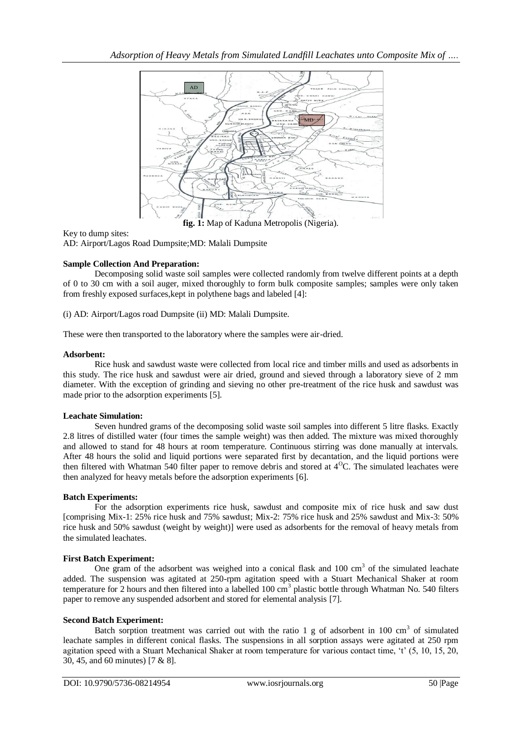

**fig. 1:** Map of Kaduna Metropolis (Nigeria).  $\mathbf{F}_{\mathbf{I}}$ 

## Key to dump sites:

AD: Airport/Lagos Road Dumpsite;MD: Malali Dumpsite

# **Sample Collection And Preparation:**

Decomposing solid waste soil samples were collected randomly from twelve different points at a depth of 0 to 30 cm with a soil auger, mixed thoroughly to form bulk composite samples; samples were only taken from freshly exposed surfaces, kept in polythene bags and labeled [4]:

(i) AD: Airport/Lagos road Dumpsite (ii) MD: Malali Dumpsite.

These were then transported to the laboratory where the samples were air-dried.

## **Adsorbent:**

Rice husk and sawdust waste were collected from local rice and timber mills and used as adsorbents in this study. The rice husk and sawdust were air dried, ground and sieved through a laboratory sieve of 2 mm diameter. With the exception of grinding and sieving no other pre-treatment of the rice husk and sawdust was diameter. made prior to the adsorption experiments [5].

# **Leachate Simulation:** The same collected from local rice and used as  $\mathbb{R}$  and timber mills and used as  $\mathbb{R}$  and used as  $\mathbb{R}$  and used as  $\mathbb{R}$  and used as  $\mathbb{R}$  and used as  $\mathbb{R}$  and used as  $\mathbb{R}$

Seven hundred grams of the decomposing solid waste soil samples into different 5 litre flasks. Exactly Exactly 2.8 litres of distilled water (four times the sample weight) was then added. The mixture was mixed thoroughly and allowed to stand for 48 hours at room temperature. Continuous stirring was done manually at intervals. After 48 hours the solid and liquid portions were separated first by decantation, and the liquid portions were then filtered with Whatman 540 filter paper to remove debris and stored at  $4^{\circ}$ C. The simulated leachates were then analyzed for heavy metals before the adsorption experiments [6].

#### **Batch Experiments:**

For the adsorption experiments rice husk, sawdust and composite mix of rice husk and saw dust [comprising Mix-1: 25% rice husk and 75% sawdust; Mix-2: 75% rice husk and 25% sawdust and Mix-3: 50% rice husk and 50% sawdust (weight by weight)] were used as adsorbents for the removal of heavy metals from the simulated leachates.

# **First Batch Experiment:**

One gram of the adsorbent was weighed into a conical flask and  $100 \text{ cm}^3$  of the simulated leachate added. The suspension was agitated at 250-rpm agitation speed with a Stuart Mechanical Shaker at room temperature for 2 hours and then filtered into a labelled  $100 \text{ cm}^3$  plastic bottle through Whatman No. 540 filters paper to remove any suspended adsorbent and stored for elemental analysis [7].

# **Second Batch Experiment:**

Batch sorption treatment was carried out with the ratio 1 g of adsorbent in  $100 \text{ cm}^3$  of simulated leachate samples in different conical flasks. The suspensions in all sorption assays were agitated at 250 rpm agitation speed with a Stuart Mechanical Shaker at room temperature for various contact time, "t" (5, 10, 15, 20, 30, 45, and 60 minutes) [7 & 8].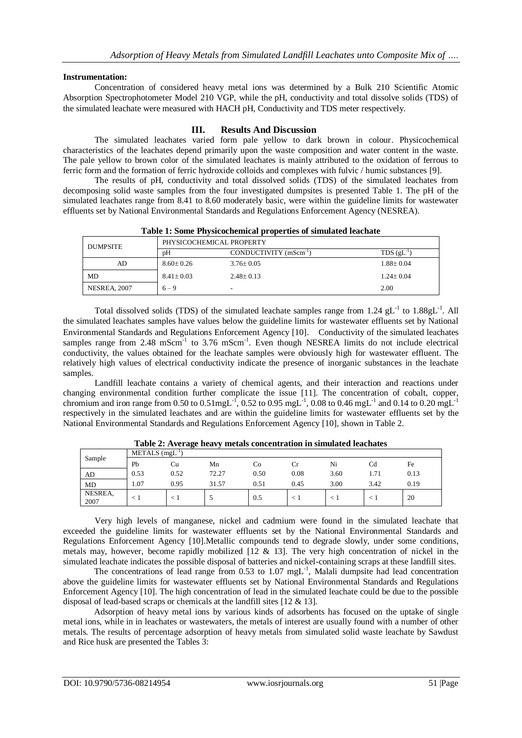## **Instrumentation:**

Concentration of considered heavy metal ions was determined by a Bulk 210 Scientific Atomic Absorption Spectrophotometer Model 210 VGP, while the pH, conductivity and total dissolve solids (TDS) of the simulated leachate were measured with HACH pH, Conductivity and TDS meter respectively.

# **III. Results And Discussion**

The simulated leachates varied form pale yellow to dark brown in colour. Physicochemical characteristics of the leachates depend primarily upon the waste composition and water content in the waste. The pale yellow to brown color of the simulated leachates is mainly attributed to the oxidation of ferrous to ferric form and the formation of ferric hydroxide colloids and complexes with fulvic / humic substances [9].

The results of pH, conductivity and total dissolved solids (TDS) of the simulated leachates from decomposing solid waste samples from the four investigated dumpsites is presented Table 1. The pH of the simulated leachates range from 8.41 to 8.60 moderately basic, were within the guideline limits for wastewater effluents set by National Environmental Standards and Regulations Enforcement Agency (NESREA).

| Table 1: Some Physicochemical properties of simulated leachate |                          |                                   |                 |  |  |  |  |  |
|----------------------------------------------------------------|--------------------------|-----------------------------------|-----------------|--|--|--|--|--|
| <b>DUMPSITE</b>                                                | PHYSICOCHEMICAL PROPERTY |                                   |                 |  |  |  |  |  |
|                                                                | nΗ                       | CONDUCTIVITY (mScm <sup>-1)</sup> | $TDS$ (gL       |  |  |  |  |  |
| AD                                                             | $8.60 + 0.26$            | $3.76 + 0.05$                     | $1.88 \pm 0.04$ |  |  |  |  |  |
| MD                                                             | $8.41 \pm 0.03$          | $2.48 + 0.13$                     | $1.24 + 0.04$   |  |  |  |  |  |
| NESREA, 2007                                                   | $6 - 9$                  |                                   | 2.00            |  |  |  |  |  |

Total dissolved solids (TDS) of the simulated leachate samples range from  $1.24 \text{ gL}^{-1}$  to  $1.88 \text{ gL}^{-1}$ . All the simulated leachates samples have values below the guideline limits for wastewater effluents set by National Environmental Standards and Regulations Enforcement Agency [10]. Conductivity of the simulated leachates samples range from 2.48 mScm<sup>-1</sup> to 3.76 mScm<sup>-1</sup>. Even though NESREA limits do not include electrical conductivity, the values obtained for the leachate samples were obviously high for wastewater effluent. The relatively high values of electrical conductivity indicate the presence of inorganic substances in the leachate samples.

Landfill leachate contains a variety of chemical agents, and their interaction and reactions under changing environmental condition further complicate the issue [11]. The concentration of cobalt, copper, chromium and iron range from 0.50 to 0.51mgL<sup>-1</sup>, 0.52 to 0.95 mgL<sup>-1</sup>, 0.08 to 0.46 mgL<sup>-1</sup> and 0.14 to 0.20 mgL<sup>-1</sup> respectively in the simulated leachates and are within the guideline limits for wastewater effluents set by the National Environmental Standards and Regulations Enforcement Agency [10], shown in Table 2.

|                 | $1400x = 110046$<br>-incluis concentration in simulated reachates |                             |       |      |      |      |      |      |  |  |  |  |  |
|-----------------|-------------------------------------------------------------------|-----------------------------|-------|------|------|------|------|------|--|--|--|--|--|
| Sample          |                                                                   | $METALS$ (mgL <sup>-1</sup> |       |      |      |      |      |      |  |  |  |  |  |
|                 | Pb                                                                | Сu                          | Mn    | Co   | Cr   | Ni   | Cd   | Fe   |  |  |  |  |  |
| AD              | 0.53                                                              | 0.52                        | 72.27 | 0.50 | 0.08 | 3.60 | 1.71 | 0.13 |  |  |  |  |  |
| <b>MD</b>       | 1.07                                                              | 0.95                        | 31.57 | 0.51 | 0.45 | 3.00 | 3.42 | 0.19 |  |  |  |  |  |
| NESREA,<br>2007 |                                                                   | ćΙ                          |       | 0.5  |      |      |      | 20   |  |  |  |  |  |

**Table 2: Average heavy metals concentration in simulated leachates**

Very high levels of manganese, nickel and cadmium were found in the simulated leachate that exceeded the guideline limits for wastewater effluents set by the National Environmental Standards and Regulations Enforcement Agency [10].Metallic compounds tend to degrade slowly, under some conditions, metals may, however, become rapidly mobilized  $[12 \& 13]$ . The very high concentration of nickel in the simulated leachate indicates the possible disposal of batteries and nickel-containing scraps at these landfill sites.

The concentrations of lead range from  $0.53$  to  $1.07 \text{ mgL}^{-1}$ , Malali dumpsite had lead concentration above the guideline limits for wastewater effluents set by National Environmental Standards and Regulations Enforcement Agency [10]. The high concentration of lead in the simulated leachate could be due to the possible disposal of lead-based scraps or chemicals at the landfill sites [12 & 13].

Adsorption of heavy metal ions by various kinds of adsorbents has focused on the uptake of single metal ions, while in in leachates or wastewaters, the metals of interest are usually found with a number of other metals. The results of percentage adsorption of heavy metals from simulated solid waste leachate by Sawdust and Rice husk are presented the Tables 3: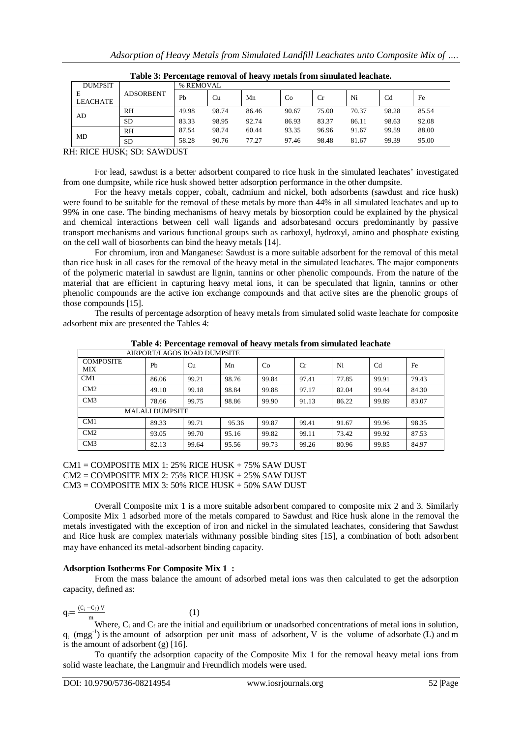| <b>DUMPSIT</b> |                  | % REMOVAL |       |       |       |           |       |                |       |  |
|----------------|------------------|-----------|-------|-------|-------|-----------|-------|----------------|-------|--|
| Е              | <b>ADSORBENT</b> | Pb        | Cu    | Mn    | Co    | <b>Cr</b> | Ni    | C <sub>d</sub> | Fe    |  |
| LEACHATE       |                  |           |       |       |       |           |       |                |       |  |
| AD             | RH               | 49.98     | 98.74 | 86.46 | 90.67 | 75.00     | 70.37 | 98.28          | 85.54 |  |
|                | <b>SD</b>        | 83.33     | 98.95 | 92.74 | 86.93 | 83.37     | 86.11 | 98.63          | 92.08 |  |
| MD             | RH               | 87.54     | 98.74 | 60.44 | 93.35 | 96.96     | 91.67 | 99.59          | 88.00 |  |
|                | <b>SD</b>        | 58.28     | 90.76 | 77.27 | 97.46 | 98.48     | 81.67 | 99.39          | 95.00 |  |

|  |  | Table 3: Percentage removal of heavy metals from simulated leachate. |  |
|--|--|----------------------------------------------------------------------|--|
|  |  |                                                                      |  |

RH: RICE HUSK; SD: SAWDUST

For lead, sawdust is a better adsorbent compared to rice husk in the simulated leachates' investigated from one dumpsite, while rice husk showed better adsorption performance in the other dumpsite.

For the heavy metals copper, cobalt, cadmium and nickel, both adsorbents (sawdust and rice husk) were found to be suitable for the removal of these metals by more than 44% in all simulated leachates and up to 99% in one case. The binding mechanisms of heavy metals by biosorption could be explained by the physical and chemical interactions between cell wall ligands and adsorbatesand occurs predominantly by passive transport mechanisms and various functional groups such as carboxyl, hydroxyl, amino and phosphate existing on the cell wall of biosorbents can bind the heavy metals [14].

For chromium, iron and Manganese: Sawdust is a more suitable adsorbent for the removal of this metal than rice husk in all cases for the removal of the heavy metal in the simulated leachates. The major components of the polymeric material in sawdust are lignin, tannins or other phenolic compounds. From the nature of the material that are efficient in capturing heavy metal ions, it can be speculated that lignin, tannins or other phenolic compounds are the active ion exchange compounds and that active sites are the phenolic groups of those compounds [15].

The results of percentage adsorption of heavy metals from simulated solid waste leachate for composite adsorbent mix are presented the Tables 4:

| AIRPORT/LAGOS ROAD DUMPSITE |                        |       |       |       |       |       |       |       |  |  |  |  |
|-----------------------------|------------------------|-------|-------|-------|-------|-------|-------|-------|--|--|--|--|
| <b>COMPOSITE</b><br>MIX     | Ph                     | Cu    | Mn    | Co    | Cr    | Ni    | Cd    | Fe    |  |  |  |  |
| CM1                         | 86.06                  | 99.21 | 98.76 | 99.84 | 97.41 | 77.85 | 99.91 | 79.43 |  |  |  |  |
| CM2                         | 49.10                  | 99.18 | 98.84 | 99.88 | 97.17 | 82.04 | 99.44 | 84.30 |  |  |  |  |
| CM3                         | 78.66                  | 99.75 | 98.86 | 99.90 | 91.13 | 86.22 | 99.89 | 83.07 |  |  |  |  |
|                             | <b>MALALI DUMPSITE</b> |       |       |       |       |       |       |       |  |  |  |  |
| CM <sub>1</sub>             | 89.33                  | 99.71 | 95.36 | 99.87 | 99.41 | 91.67 | 99.96 | 98.35 |  |  |  |  |
| CM2                         | 93.05                  | 99.70 | 95.16 | 99.82 | 99.11 | 73.42 | 99.92 | 87.53 |  |  |  |  |
| CM3                         | 82.13                  | 99.64 | 95.56 | 99.73 | 99.26 | 80.96 | 99.85 | 84.97 |  |  |  |  |

**Table 4: Percentage removal of heavy metals from simulated leachate**

 $CM1 = COMPOSITE MIX 1: 25% RICE HUSK + 75% SAW DUST$ CM2 = COMPOSITE MIX 2: 75% RICE HUSK + 25% SAW DUST

 $CM3 = COMPOSITE MIX 3: 50% RICE HUSK + 50% SAW DUST$ 

(1)

Overall Composite mix 1 is a more suitable adsorbent compared to composite mix 2 and 3. Similarly Composite Mix 1 adsorbed more of the metals compared to Sawdust and Rice husk alone in the removal the metals investigated with the exception of iron and nickel in the simulated leachates, considering that Sawdust and Rice husk are complex materials withmany possible binding sites [15], a combination of both adsorbent may have enhanced its metal-adsorbent binding capacity.

#### **Adsorption Isotherms For Composite Mix 1 :**

From the mass balance the amount of adsorbed metal ions was then calculated to get the adsorption capacity, defined as:

$$
q_t = \frac{(C_i - C_f) V}{m}
$$

Where,  $C_i$  and  $C_f$  are the initial and equilibrium or unadsorbed concentrations of metal ions in solution,  $q_t$  (mgg<sup>-1</sup>) is the amount of adsorption per unit mass of adsorbent, V is the volume of adsorbate (L) and m is the amount of adsorbent  $(g)$  [16].

To quantify the adsorption capacity of the Composite Mix 1 for the removal heavy metal ions from solid waste leachate, the Langmuir and Freundlich models were used.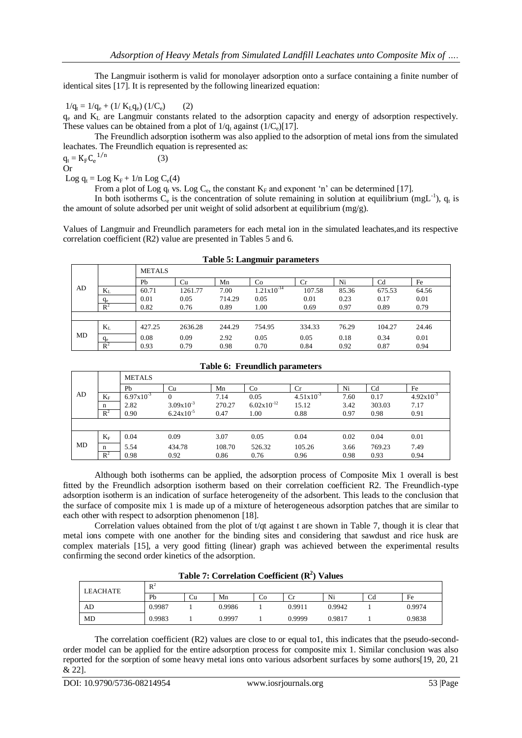The Langmuir isotherm is valid for monolayer adsorption onto a surface containing a finite number of identical sites [17]. It is represented by the following linearized equation:

# $1/q_t = 1/q_e + (1/K_Lq_e) (1/C_e)$  (2)

(3)

 $q_e$  and  $K_L$  are Langmuir constants related to the adsorption capacity and energy of adsorption respectively. These values can be obtained from a plot of  $1/q_t$  against ( $1/C_e$ )[17].

The Freundlich adsorption isotherm was also applied to the adsorption of metal ions from the simulated leachates. The Freundlich equation is represented as:

$$
q_t = K_F C_e^{-1/n}
$$
Or

Log  $q_t =$ Log  $K_F + 1/n$  Log  $C_e(4)$ 

From a plot of Log  $q_t$  vs. Log  $C_e$ , the constant  $K_F$  and exponent 'n' can be determined [17].

In both isotherms  $C_e$  is the concentration of solute remaining in solution at equilibrium (mgL<sup>-1</sup>),  $q_t$  is the amount of solute adsorbed per unit weight of solid adsorbent at equilibrium (mg/g).

Values of Langmuir and Freundlich parameters for each metal ion in the simulated leachates,and its respective correlation coefficient (R2) value are presented in Tables 5 and 6.

#### **Table 5: Langmuir parameters**

|    |                | <b>METALS</b> |         |        |                        |        |       |                |       |
|----|----------------|---------------|---------|--------|------------------------|--------|-------|----------------|-------|
|    |                | Pb            | Cu      | Mn     | Co                     | Cr     | Ni    | C <sub>d</sub> | Fe    |
| AD | $K_{L}$        | 60.71         | 1261.77 | 7.00   | $1.21 \times 10^{-14}$ | 107.58 | 85.36 | 675.53         | 64.56 |
|    | $q_e$          | 0.01          | 0.05    | 714.29 | 0.05                   | 0.01   | 0.23  | 0.17           | 0.01  |
|    | $R^2$          | 0.82          | 0.76    | 0.89   | 1.00                   | 0.69   | 0.97  | 0.89           | 0.79  |
|    |                |               |         |        |                        |        |       |                |       |
|    | $K_{L}$        | 427.25        | 2636.28 | 244.29 | 754.95                 | 334.33 | 76.29 | 104.27         | 24.46 |
| MD | $q_e$          | 0.08          | 0.09    | 2.92   | 0.05                   | 0.05   | 0.18  | 0.34           | 0.01  |
|    | $\mathbb{R}^2$ | 0.93          | 0.79    | 0.98   | 0.70                   | 0.84   | 0.92  | 0.87           | 0.94  |

#### **Table 6: Freundlich parameters**

|    |             | <b>METALS</b>  |                       |        |                        |                       |      |                |                       |
|----|-------------|----------------|-----------------------|--------|------------------------|-----------------------|------|----------------|-----------------------|
|    |             | Pb             | Cu                    | Mn     | Co                     | Cr                    | Ni   | C <sub>d</sub> | Fe                    |
| AD | $K_{\rm F}$ | $6.97x10^{-3}$ | $\Omega$              | 7.14   | 0.05                   | $4.51 \times 10^{-3}$ | 7.60 | 0.17           | $4.92 \times 10^{-3}$ |
|    | n           | 2.82           | $3.09x10^{-3}$        | 270.27 | $6.02 \times 10^{-12}$ | 15.12                 | 3.42 | 303.03         | 7.17                  |
|    | $R^2$       | 0.90           | $6.24 \times 10^{-5}$ | 0.47   | 1.00                   | 0.88                  | 0.97 | 0.98           | 0.91                  |
|    |             |                |                       |        |                        |                       |      |                |                       |
|    | $K_F$       | 0.04           | 0.09                  | 3.07   | 0.05                   | 0.04                  | 0.02 | 0.04           | 0.01                  |
| MD | n           | 5.54           | 434.78                | 108.70 | 526.32                 | 105.26                | 3.66 | 769.23         | 7.49                  |
|    | $R^2$       | 0.98           | 0.92                  | 0.86   | 0.76                   | 0.96                  | 0.98 | 0.93           | 0.94                  |

Although both isotherms can be applied, the adsorption process of Composite Mix 1 overall is best fitted by the Freundlich adsorption isotherm based on their correlation coefficient R2. The Freundlich-type adsorption isotherm is an indication of surface heterogeneity of the adsorbent. This leads to the conclusion that the surface of composite mix 1 is made up of a mixture of heterogeneous adsorption patches that are similar to each other with respect to adsorption phenomenon [18].

Correlation values obtained from the plot of t/qt against t are shown in Table 7, though it is clear that metal ions compete with one another for the binding sites and considering that sawdust and rice husk are complex materials [15], a very good fitting (linear) graph was achieved between the experimental results confirming the second order kinetics of the adsorption.

|  | Table 7: Correlation Coefficient $(R^2)$ Values |  |  |  |
|--|-------------------------------------------------|--|--|--|
|--|-------------------------------------------------|--|--|--|

| LEACHATE | $R^2$  |    |        |    |        |        |    |        |
|----------|--------|----|--------|----|--------|--------|----|--------|
|          | Pb     | Сu | Mn     | Cо | U      | Ni     | Cd | Fe     |
| AD       | 0.9987 |    | 0.9986 |    | 0.9911 | 0.9942 |    | 0.9974 |
| MD       | 0.9983 |    | 0.9997 |    | 0.9999 | 0.9817 |    | 0.9838 |

The correlation coefficient (R2) values are close to or equal to1, this indicates that the pseudo-secondorder model can be applied for the entire adsorption process for composite mix 1. Similar conclusion was also reported for the sorption of some heavy metal ions onto various adsorbent surfaces by some authors[19, 20, 21 & 22].